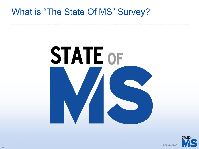#### What is "The State Of MS" Survey?



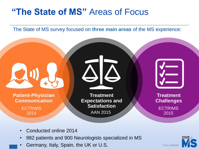#### **"The State of MS"** Areas of Focus

The State of MS survey focused on **three main areas** of the MS experience:



- Conducted online 2014
- 982 patients and 900 Neurologists specialized in MS
- Germany, Italy, Spain, the UK or U.S.

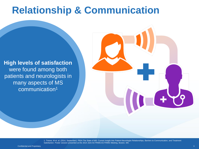### **Relationship & Communication**

**High levels of satisfaction**  were found among both patients and neurologists in many aspects of MS communication<sup>1</sup>



1. Tintore, M et. al. (2014, September). P824 The State of MS: Current Insight Into Patient-Neurologist Relationships, Barriers to Communication, and Treatment Satisfaction. Poster session presented at the 2014 Joint ACTRIMS-ECTRIMS Meeting, Boston, MA.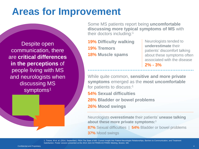# **Areas for Improvement**

Despite open communication, there are **critical differences in the perceptions** of people living with MS and neurologists when discussing MS symptoms<sup>1</sup>

Some MS patients report being **uncomfortable discussing more typical symptoms of MS** with their doctors including:<sup>1</sup>

**19% Difficulty walking 19% Tremors 18% Muscle spams**

Neurologists tended to **underestimate** their patients' discomfort talking about these symptoms often associated with the disease **2% - 3%** 

While quite common, **sensitive and more private symptoms** emerged as the **most uncomfortable** for patients to discuss:<sup>1</sup>

**54% Sexual difficulties**

**28% Bladder or bowel problems**

**26% Mood swings**

Neurologists **overestimate** their patients' **unease talking about these more private symptoms:**<sup>1</sup>

**87%** Sexual difficulties | **54%** Bladder or bowel problems **37%** Mood swings

1. Tintore, M et. al. (2014, September). P824 The State of MS: Current Insight Into Patient-Neurologist Relationships, Barriers to Communication, and Treatment Satisfaction. Poster session presented at the 2014 Joint ACTRIMS-ECTRIMS Meeting, Boston, MA.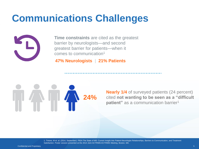## **Communications Challenges**



**Time constraints** are cited as the greatest barrier by neurologists—and second greatest barrier for patients—when it comes to communication<sup>1</sup>

**47% Neurologists** | **21% Patients**



**Nearly 1/4** of surveyed patients (24 percent) cited **not wanting to be seen as a "difficult patient"** as a communication barrier<sup>1</sup>

reported barriers to

1. Tintore, M et. al. (2014, September). P824 The State of MS: Current Insight Into Patient-Neurologist Relationships, Barriers to Communication, and Treatment Satisfaction. Poster session presented at the 2014 Joint ACTRIMS-ECTRIMS Meeting, Boston, MA.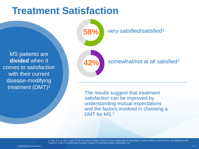### **Treatment Satisfaction**

MS patients are **divided** when it comes to satisfaction with their current disease-modifying treatment (DMT)<sup>2</sup>

very satisfied/satisfied<sup>2</sup>

**42%** 

**58%**

somewhat/not at all satisfied<sup>2</sup>

The results suggest that treatment satisfaction can be improved by understanding mutual expectations and the factors involved in choosing a DMT for MS.<sup>2</sup>

2. Wray, S et. al. (2015, April). P3.235 The State of Multiple Sclerosis Survey: Relationship of Expectations, Decision Making, Communication, and Satisfaction With Treatment. Poster Presented at the American Academy of Neurology Meeting, Washington, DC.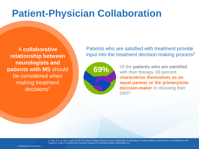## **Patient-Physician Collaboration**

A **collaborative relationship between neurologists and patients with MS** should be considered when making treatment decisions<sup>2</sup>

Patients who are satisfied with treatment provide input into the treatment decision-making process<sup>2</sup>



Of the **patients who are satisfied**  with their therapy, 69 percent **characterize themselves as an equal partner or the primary/sole decision-maker** in choosing their DMT<sup>2</sup>

2. Wray, S et. al. (2015, April). P3.235 The State of Multiple Sclerosis Survey: Relationship of Expectations, Decision Making, Communication, and Satisfaction With Treatment. Poster Presented at the American Academy of Neurology Meeting, Washington, DC.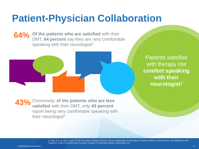# **Patient-Physician Collaboration**

**64%** Of the patients who are satisfied with their<br> **64%** ONT 64 persont sex they are yery comforted DMT, **64 percent** say they are very comfortable speaking with their neurologist<sup>2</sup>



Patients satisfied with therapy cite **comfort speaking with their neurologist**<sup>2</sup>

**43%** Conversely, of the patients who are less satisfied with their DMT only 43 percent **satisfied** with their DMT, only **43 percent**  report being very comfortable speaking with their neurologist<sup>2</sup>

> 2. Wray, S et. al. (2015, April). P3.235 The State of Multiple Sclerosis Survey: Relationship of Expectations, Decision Making, Communication, and Satisfaction With Treatment. Poster Presented at the American Academy of Neurology Meeting, Washington, DC.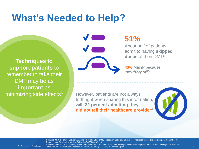### **What's Needed to Help?**

**Techniques to support patients** to remember to take their DMT may be as **important** as

**51%**

About half of patients admit to having **skipped doses** of their DMT<sup>5</sup>

**43%** Mainly because they **"forgot"**<sup>5</sup>

minimizing side effects<sup>5</sup> However, patients are not always forthright when sharing this information, with **32 percent admitting they did not tell their healthcare provider**<sup>4</sup>



4. Tintore, M et. al. (2015, October). Abstract P643 The State of MS: Treatment Goals and Challenges. Abstract Published on the European Committee for Treatment and Research in Multiple Sclerosis (ECTRIMS) Website.

Confidential and Proprietary Committee for Treatment and Research in Multiple Sclerosis (ECTRIMS), Barcelona, Spain. The committee of the committee for Treatment and Research in Multiple Sclerosis (ECTRIMS), Barcelona, Spa 5. Tintore, M et. al. (2015, October). P643 The State of MS: Treatment Goals and Challenges. Poster session presented at the 31st meeting of the European